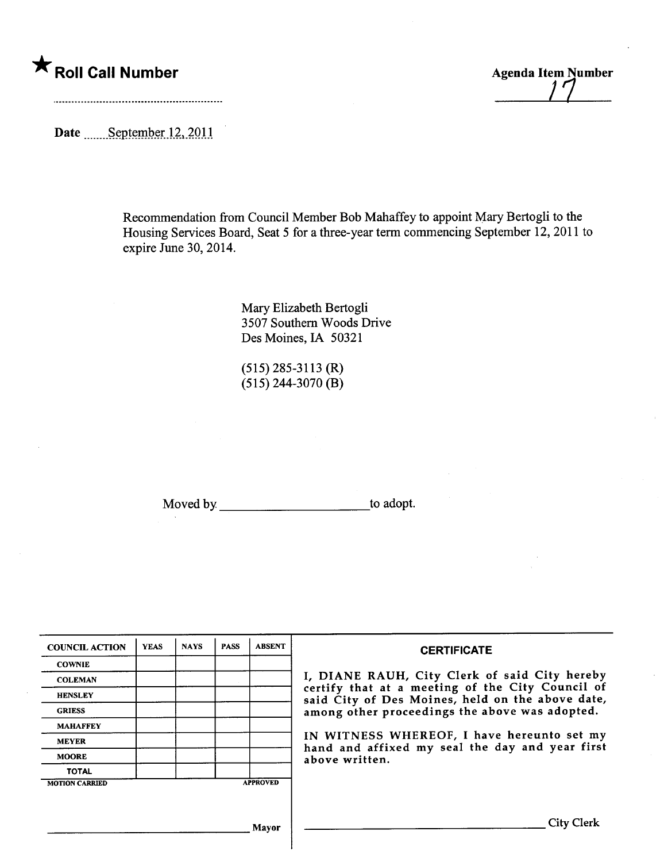## $\star$  Roll Call Number

**Agenda Item Number** 

Date manufactured Date manufactured Date manufactured Date manufactured Date manufactured Date manufactured Date manufactured Date manufactured Date manufactured Date manufactured Date manufactured Date manufactured Date m

Recommendation from Council Member Bob Mahaffey to appoint Mary Bertogli to the Housing Services Board, Seat 5 for a three-year term commencing September 12,2011 to expire June 30, 2014.

> Mary Elizabeth Bertogli 3507 Southern Woods Drive Des Moines, IA 50321

(515) 285-3113 (R)  $(515)$  244-3070 (B)

Moved by to adopt.

| <b>COUNCIL ACTION</b> | <b>YEAS</b> | <b>NAYS</b> | <b>PASS</b> | <b>ABSENT</b>   | <b>CERTIFICATE</b>                                                                                   |
|-----------------------|-------------|-------------|-------------|-----------------|------------------------------------------------------------------------------------------------------|
| <b>COWNIE</b>         |             |             |             |                 |                                                                                                      |
| <b>COLEMAN</b>        |             |             |             |                 | I, DIANE RAUH, City Clerk of said City hereby                                                        |
| <b>HENSLEY</b>        |             |             |             |                 | certify that at a meeting of the City Council of<br>said City of Des Moines, held on the above date, |
| <b>GRIESS</b>         |             |             |             |                 | among other proceedings the above was adopted.                                                       |
| <b>MAHAFFEY</b>       |             |             |             |                 |                                                                                                      |
| <b>MEYER</b>          |             |             |             |                 | IN WITNESS WHEREOF, I have hereunto set my<br>hand and affixed my seal the day and year first        |
| <b>MOORE</b>          |             |             |             |                 | above written.                                                                                       |
| <b>TOTAL</b>          |             |             |             |                 |                                                                                                      |
| <b>MOTION CARRIED</b> |             |             |             | <b>APPROVED</b> |                                                                                                      |
|                       |             |             |             |                 |                                                                                                      |
|                       |             |             |             | <b>Mayor</b>    | <b>City Clerk</b>                                                                                    |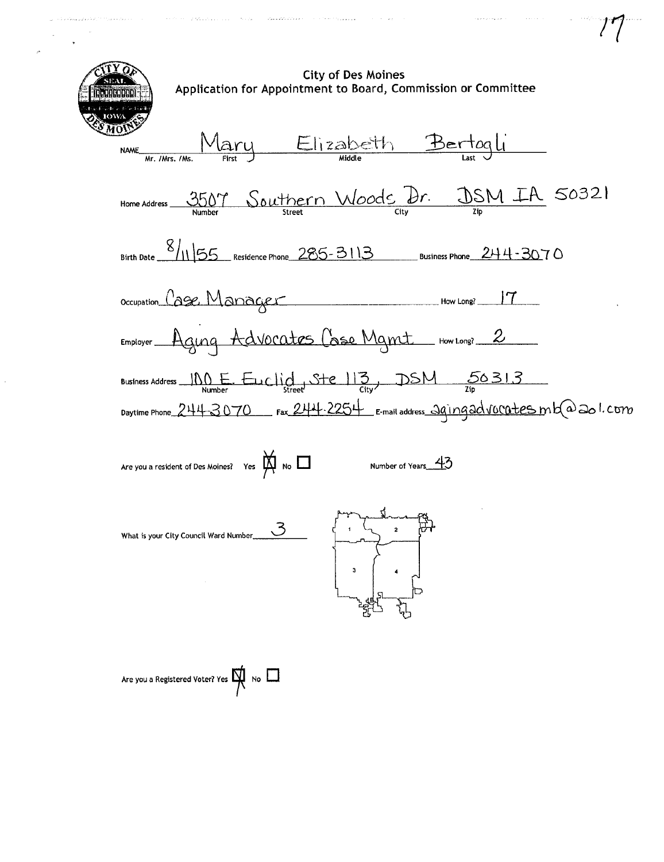**City of Des Moines** Application for Appointment to Board, Commission or Committee Mary Elizabeth Bertogli **NAME** Home Address 3507 Southern Woods Dr. DSM IA 50321 Occupation Cage Manager How Long? 17 Employer Aging Advocates Case Mamt How Long? 2 Business Address  $\underbrace{\hspace{1cm}}{\text{NQ}}$  Euclide Steel 13, DSM 56313 Daytime Phone 244-3070 Fax 244-2254 E-mail address 29ingadvocates mba 201.com Are you a resident of Des Moines? Yes  $M \setminus N$ Number of Years 43  $\mathcal{S}$ What is your City Council Ward Number....  $\overline{\mathbf{3}}$ Are you a Registered Voter? Yes  $\mathbb{N}$  No  $\Box$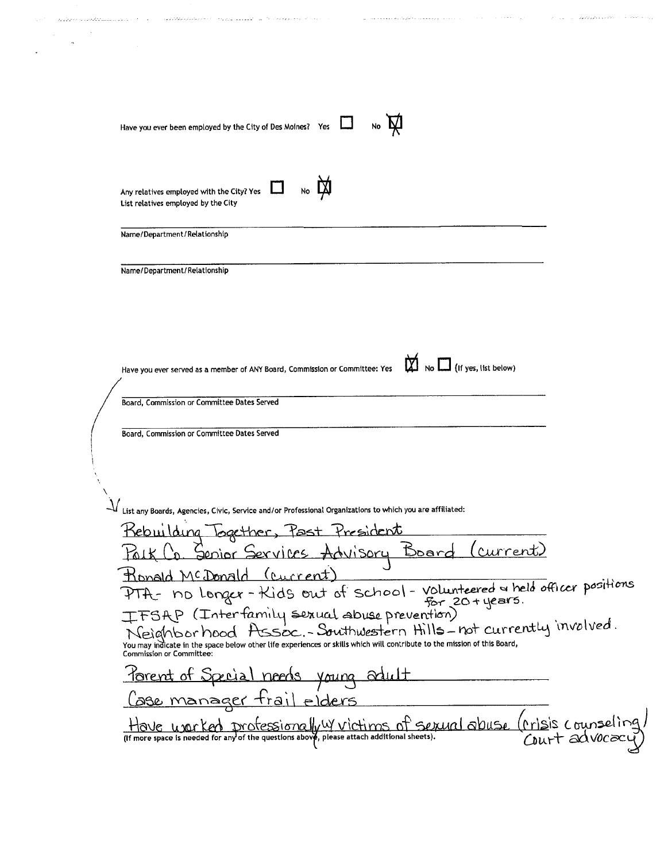| Have you ever been employed by the City of Des Moines? Yes<br>No                                                                                                                           |  |
|--------------------------------------------------------------------------------------------------------------------------------------------------------------------------------------------|--|
|                                                                                                                                                                                            |  |
|                                                                                                                                                                                            |  |
|                                                                                                                                                                                            |  |
|                                                                                                                                                                                            |  |
|                                                                                                                                                                                            |  |
|                                                                                                                                                                                            |  |
|                                                                                                                                                                                            |  |
|                                                                                                                                                                                            |  |
| Any relatives employed with the City? Yes<br>List relatives employed by the City                                                                                                           |  |
|                                                                                                                                                                                            |  |
| Name/Department/Relationship                                                                                                                                                               |  |
|                                                                                                                                                                                            |  |
| Name/Department/Relationship                                                                                                                                                               |  |
|                                                                                                                                                                                            |  |
|                                                                                                                                                                                            |  |
|                                                                                                                                                                                            |  |
| $\Box$ (If yes, list below)                                                                                                                                                                |  |
| Have you ever served as a member of ANY Board, Commission or Committee: Yes                                                                                                                |  |
| Board, Commission or Committee Dates Served                                                                                                                                                |  |
|                                                                                                                                                                                            |  |
| Board, Commission or Committee Dates Served                                                                                                                                                |  |
|                                                                                                                                                                                            |  |
|                                                                                                                                                                                            |  |
|                                                                                                                                                                                            |  |
| $\mathcal {V}% _{i}$ List any Boards, Agencies, Civic, Service and/or Professional Organizations to which you are affiliated:                                                              |  |
| Kebuilding Together, Past President                                                                                                                                                        |  |
| Folk L'o. Senior Services Advisory Board<br><u>(current)</u>                                                                                                                               |  |
| Ronald McDonald (current)                                                                                                                                                                  |  |
| PTA- no longer-Kids out of school-volunteered & held officer positions                                                                                                                     |  |
| IFSAP (Interfamily sexual abuse prevention)                                                                                                                                                |  |
| Neighborhood Assoc.-Southwestern Hills-not currently involved.<br>You may indicate in the space below other life experiences or skills which will contribute to the mission of this Board, |  |
| <b>Commission or Committee:</b>                                                                                                                                                            |  |
| <u>Porent of Special needs</u> young adu                                                                                                                                                   |  |
| <u>Lase manager trail elders</u>                                                                                                                                                           |  |
| Have werked professionally wictims of served abuse (risis counseling<br>(If more space is needed for any of the questions above, please attach additional sheets). COULT advocacy          |  |
|                                                                                                                                                                                            |  |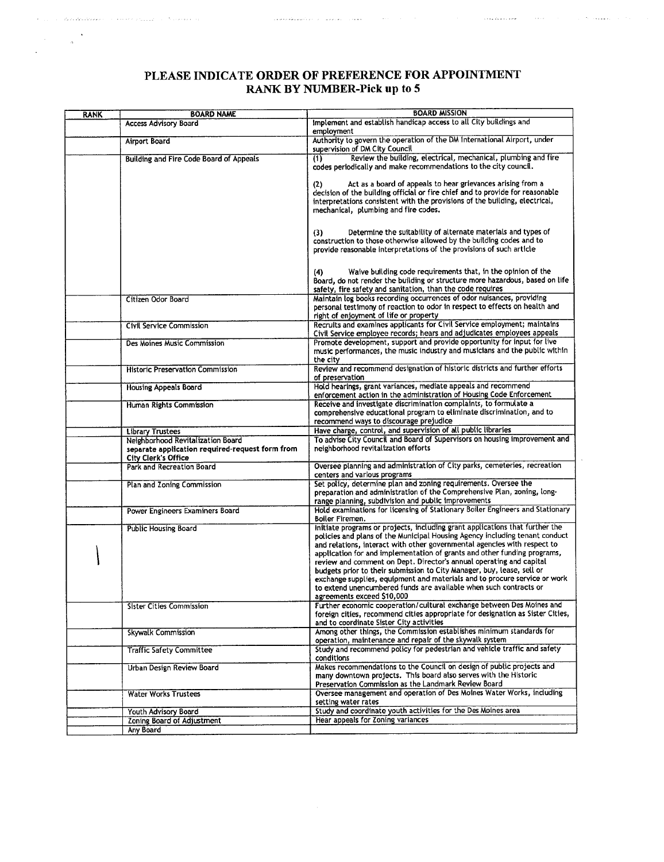## PLEASE INDICATE ORDER OF PREFERENCE FOR APPOINTMENT RANK BY NUMBER-Pick up to 5

المحادث المستحدث والمحادث والمحادث المستدي بستطيع والمتمسط والمتعارف

. The constraint of the second  $\hat{\mathcal{E}}$ 

لتفقيده ألحان

 $\hat{\mathcal{L}}_{\text{c}} = \sum_{i=1}^{n} \sum_{j=1}^{n} \sum_{j=1}^{n} \sum_{j=1}^{n} \sum_{j=1}^{n} \sum_{j=1}^{n} \sum_{j=1}^{n} \sum_{j=1}^{n} \sum_{j=1}^{n} \sum_{j=1}^{n} \sum_{j=1}^{n} \sum_{j=1}^{n} \sum_{j=1}^{n} \sum_{j=1}^{n} \sum_{j=1}^{n} \sum_{j=1}^{n} \sum_{j=1}^{n} \sum_{j=1}^{n} \sum_{j=1}^{n} \sum_{j=1}^{n} \sum_{j=$ 

 $\mathbb{Z}_2$ 

| <b>RANK</b> | <b>BOARD NAME</b>                                                                                                  | <b>BOARD MISSION</b>                                                                                                                                                                                                                                                                                                                                                                                                                                                                                                                                                                                                                                 |  |  |  |
|-------------|--------------------------------------------------------------------------------------------------------------------|------------------------------------------------------------------------------------------------------------------------------------------------------------------------------------------------------------------------------------------------------------------------------------------------------------------------------------------------------------------------------------------------------------------------------------------------------------------------------------------------------------------------------------------------------------------------------------------------------------------------------------------------------|--|--|--|
|             | <b>Access Advisory Board</b>                                                                                       | Implement and establish handicap access to all City buildings and<br>employment                                                                                                                                                                                                                                                                                                                                                                                                                                                                                                                                                                      |  |  |  |
|             | <b>Airport Board</b>                                                                                               | Authority to govern the operation of the DM International Airport, under<br>supervision of DM City Council                                                                                                                                                                                                                                                                                                                                                                                                                                                                                                                                           |  |  |  |
|             | <b>Building and Fire Code Board of Appeals</b>                                                                     | Review the building, electrical, mechanical, plumbing and fire<br>(1)<br>codes periodically and make recommendations to the city council.                                                                                                                                                                                                                                                                                                                                                                                                                                                                                                            |  |  |  |
|             |                                                                                                                    | Act as a board of appeals to hear grievances arising from a<br>(2)<br>decision of the building official or fire chief and to provide for reasonable<br>interpretations consistent with the provisions of the building, electrical,<br>mechanical, plumbing and fire codes.                                                                                                                                                                                                                                                                                                                                                                           |  |  |  |
|             |                                                                                                                    | Determine the suitability of alternate materials and types of<br>(3)<br>construction to those otherwise atlowed by the building codes and to<br>provide reasonable interpretations of the provisions of such article                                                                                                                                                                                                                                                                                                                                                                                                                                 |  |  |  |
|             |                                                                                                                    | Waive building code requirements that, in the opinion of the<br>(4)<br>Board, do not render the building or structure more hazardous, based on life<br>safety, fire safety and sanitation, than the code requires                                                                                                                                                                                                                                                                                                                                                                                                                                    |  |  |  |
|             | Citizen Odor Board                                                                                                 | Maintain log books recording occurrences of odor nuisances, providing<br>personal testimony of reaction to odor in respect to effects on health and<br>right of enjoyment of life or property                                                                                                                                                                                                                                                                                                                                                                                                                                                        |  |  |  |
|             | Civil Service Commission                                                                                           | Recruits and examines applicants for Civil Service employment; maintains<br>Civil Service employee records; hears and adjudicates employees appeals                                                                                                                                                                                                                                                                                                                                                                                                                                                                                                  |  |  |  |
|             | Des Moines Music Commission                                                                                        | Promote development, support and provide opportunity for input for live<br>music performances, the music industry and musicians and the public within<br>the city                                                                                                                                                                                                                                                                                                                                                                                                                                                                                    |  |  |  |
|             | <b>Historic Preservation Commission</b>                                                                            | Review and recommend designation of historic districts and further efforts<br>of preservation                                                                                                                                                                                                                                                                                                                                                                                                                                                                                                                                                        |  |  |  |
|             | <b>Housing Appeals Board</b>                                                                                       | Hold hearings, grant variances, mediate appeals and recommend<br>enforcement action in the administration of Housing Code Enforcement                                                                                                                                                                                                                                                                                                                                                                                                                                                                                                                |  |  |  |
|             | Human Rights Commission                                                                                            | Receive and investigate discrimination complaints, to formulate a<br>comprehensive educational program to eliminate discrimination, and to<br>recommend ways to discourage prejudice                                                                                                                                                                                                                                                                                                                                                                                                                                                                 |  |  |  |
|             | <b>Library Trustees</b>                                                                                            | Have charge, control, and supervision of all public libraries                                                                                                                                                                                                                                                                                                                                                                                                                                                                                                                                                                                        |  |  |  |
|             | Neighborhood Revitalization Board<br>separate application required-request form from<br><b>City Clerk's Office</b> | To advise City Council and Board of Supervisors on housing improvement and<br>neighborhood revitalization efforts                                                                                                                                                                                                                                                                                                                                                                                                                                                                                                                                    |  |  |  |
|             | Park and Recreation Board                                                                                          | Oversee planning and administration of City parks, cemeteries, recreation<br>centers and various programs                                                                                                                                                                                                                                                                                                                                                                                                                                                                                                                                            |  |  |  |
|             | Plan and Zoning Commission                                                                                         | Set policy, determine plan and zoning requirements. Oversee the<br>preparation and administration of the Comprehensive Plan, zoning, long-<br>range planning, subdivision and public improvements                                                                                                                                                                                                                                                                                                                                                                                                                                                    |  |  |  |
|             | Power Engineers Examiners Board                                                                                    | Hold examinations for licensing of Stationary Boiler Engineers and Stationary<br>Boiler Firemen.                                                                                                                                                                                                                                                                                                                                                                                                                                                                                                                                                     |  |  |  |
|             | <b>Public Housing Board</b>                                                                                        | initiate programs or projects, including grant applications that further the<br>policies and plans of the Municipal Housing Agency including tenant conduct<br>and relations, interact with other governmental agencies with respect to<br>application for and implementation of grants and other funding programs,<br>review and comment on Dept. Director's annual operating and capital<br>budgets prior to their submission to City Manager, buy, lease, sell or<br>exchange supplies, equipment and materials and to procure service or work<br>to extend unencumbered funds are available when such contracts or<br>agreements exceed \$10,000 |  |  |  |
|             | <b>Sister Cities Commission</b>                                                                                    | Further economic cooperation/cultural exchange between Des Moines and<br>foreign cities, recommend cities appropriate for designation as Sister Cities,<br>and to coordinate Sister City activities                                                                                                                                                                                                                                                                                                                                                                                                                                                  |  |  |  |
|             | <b>Skywalk Commission</b>                                                                                          | Among other things, the Commission establishes minimum standards for<br>operation, maintenance and repair of the skywalk system                                                                                                                                                                                                                                                                                                                                                                                                                                                                                                                      |  |  |  |
|             | <b>Traffic Safety Committee</b>                                                                                    | Study and recommend policy for pedestrian and vehicle traffic and safety<br>conditions                                                                                                                                                                                                                                                                                                                                                                                                                                                                                                                                                               |  |  |  |
|             | Urban Design Review Board                                                                                          | Makes recommendations to the Council on design of public projects and<br>many downtown projects. This board also serves with the Historic<br>Preservation Commission as the Landmark Review Board                                                                                                                                                                                                                                                                                                                                                                                                                                                    |  |  |  |
|             | <b>Water Works Trustees</b>                                                                                        | Oversee management and operation of Des Moines Water Works, including<br>setting water rates                                                                                                                                                                                                                                                                                                                                                                                                                                                                                                                                                         |  |  |  |
|             | Youth Advisory Board                                                                                               | Study and coordinate youth activities for the Des Moines area                                                                                                                                                                                                                                                                                                                                                                                                                                                                                                                                                                                        |  |  |  |
|             | Zoning Board of Adjustment                                                                                         | Hear appeals for Zoning variances                                                                                                                                                                                                                                                                                                                                                                                                                                                                                                                                                                                                                    |  |  |  |
|             | Any Board                                                                                                          |                                                                                                                                                                                                                                                                                                                                                                                                                                                                                                                                                                                                                                                      |  |  |  |